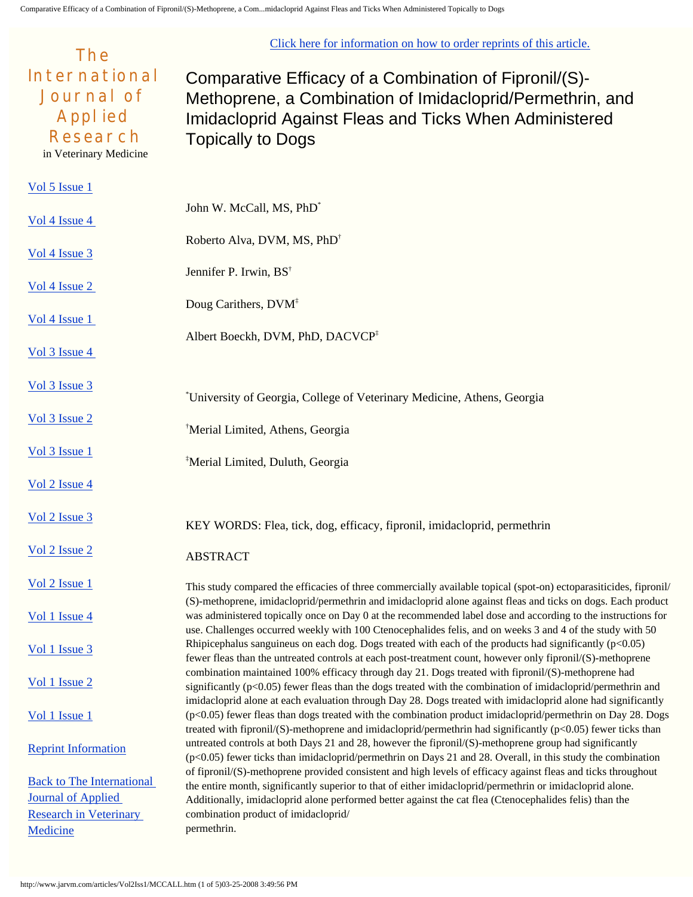[Click here for information on how to order reprints of this article.](http://www.jarvm.com/reprint/index.htm)

| The                                                                                                      |                                                                                                                                                                                                                                                                                                                                                 |  |  |
|----------------------------------------------------------------------------------------------------------|-------------------------------------------------------------------------------------------------------------------------------------------------------------------------------------------------------------------------------------------------------------------------------------------------------------------------------------------------|--|--|
| <b>International</b><br><b>Journal of</b><br><b>Applied</b><br><b>Research</b><br>in Veterinary Medicine | Comparative Efficacy of a Combination of Fipronil/(S)-<br>Methoprene, a Combination of Imidacloprid/Permethrin, and<br>Imidacloprid Against Fleas and Ticks When Administered<br><b>Topically to Dogs</b>                                                                                                                                       |  |  |
| Vol 5 Issue 1                                                                                            |                                                                                                                                                                                                                                                                                                                                                 |  |  |
| Vol 4 Issue 4                                                                                            | John W. McCall, MS, PhD <sup>*</sup>                                                                                                                                                                                                                                                                                                            |  |  |
| Vol 4 Issue 3                                                                                            | Roberto Alva, DVM, MS, PhD <sup>†</sup>                                                                                                                                                                                                                                                                                                         |  |  |
| Vol <sub>4</sub> Is sue <sub>2</sub>                                                                     | Jennifer P. Irwin, BS <sup>†</sup>                                                                                                                                                                                                                                                                                                              |  |  |
|                                                                                                          | Doug Carithers, DVM <sup>‡</sup>                                                                                                                                                                                                                                                                                                                |  |  |
| Vol <sub>4</sub> Is sue <sub>1</sub>                                                                     | Albert Boeckh, DVM, PhD, DACVCP <sup>‡</sup>                                                                                                                                                                                                                                                                                                    |  |  |
| Vol 3 Issue 4                                                                                            |                                                                                                                                                                                                                                                                                                                                                 |  |  |
| Vol 3 Issue 3                                                                                            | <sup>*</sup> University of Georgia, College of Veterinary Medicine, Athens, Georgia                                                                                                                                                                                                                                                             |  |  |
| Vol 3 Issue 2                                                                                            | <sup>†</sup> Merial Limited, Athens, Georgia                                                                                                                                                                                                                                                                                                    |  |  |
| Vol 3 Issue 1                                                                                            | <sup>‡</sup> Merial Limited, Duluth, Georgia                                                                                                                                                                                                                                                                                                    |  |  |
| Vol 2 Issue 4                                                                                            |                                                                                                                                                                                                                                                                                                                                                 |  |  |
| Vol 2 Issue 3                                                                                            | KEY WORDS: Flea, tick, dog, efficacy, fipronil, imidacloprid, permethrin                                                                                                                                                                                                                                                                        |  |  |
| Vol 2 Issue 2                                                                                            | <b>ABSTRACT</b>                                                                                                                                                                                                                                                                                                                                 |  |  |
| Vol 2 Issue 1                                                                                            | This study compared the efficacies of three commercially available topical (spot-on) ectoparasiticides, fipronil/                                                                                                                                                                                                                               |  |  |
| Vol 1 Issue 4                                                                                            | (S)-methoprene, imidacloprid/permethrin and imidacloprid alone against fleas and ticks on dogs. Each product<br>was administered topically once on Day 0 at the recommended label dose and according to the instructions for<br>use. Challenges occurred weekly with 100 Ctenocephalides felis, and on weeks 3 and 4 of the study with 50       |  |  |
| $Vol1$ Issue 3                                                                                           | Rhipicephalus sanguineus on each dog. Dogs treated with each of the products had significantly $(p<0.05)$<br>fewer fleas than the untreated controls at each post-treatment count, however only fipronil/(S)-methoprene                                                                                                                         |  |  |
| Vol 1 Issue 2                                                                                            | combination maintained 100% efficacy through day 21. Dogs treated with fipronil/(S)-methoprene had<br>significantly $(p<0.05)$ fewer fleas than the dogs treated with the combination of imidacloprid/permethrin and                                                                                                                            |  |  |
| Vol 1 Issue 1                                                                                            | imidacloprid alone at each evaluation through Day 28. Dogs treated with imidacloprid alone had significantly<br>(p<0.05) fewer fleas than dogs treated with the combination product imidacloprid/permethrin on Day 28. Dogs<br>treated with fipronil/(S)-methoprene and imidacloprid/permethrin had significantly ( $p<0.05$ ) fewer ticks than |  |  |
| <b>Reprint Information</b>                                                                               | untreated controls at both Days 21 and 28, however the fipronil/(S)-methoprene group had significantly<br>(p<0.05) fewer ticks than imidacloprid/permethrin on Days 21 and 28. Overall, in this study the combination                                                                                                                           |  |  |
| <b>Back to The International</b>                                                                         | of fipronil/(S)-methoprene provided consistent and high levels of efficacy against fleas and ticks throughout<br>the entire month, significantly superior to that of either imidacloprid/permethrin or imidacloprid alone.                                                                                                                      |  |  |
| <b>Journal of Applied</b>                                                                                | Additionally, imidacloprid alone performed better against the cat flea (Ctenocephalides felis) than the                                                                                                                                                                                                                                         |  |  |
| <b>Research in Veterinary</b>                                                                            | combination product of imidacloprid/                                                                                                                                                                                                                                                                                                            |  |  |
| Medicine                                                                                                 | permethrin.                                                                                                                                                                                                                                                                                                                                     |  |  |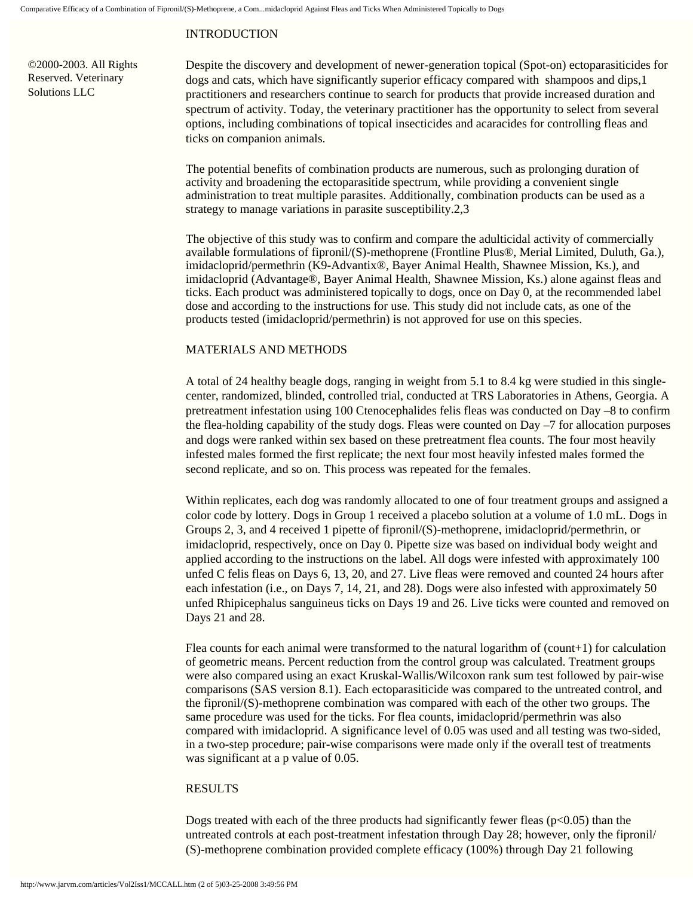# INTRODUCTION

©2000-2003. All Rights Reserved. Veterinary Solutions LLC

Despite the discovery and development of newer-generation topical (Spot-on) ectoparasiticides for dogs and cats, which have significantly superior efficacy compared with shampoos and dips,1 practitioners and researchers continue to search for products that provide increased duration and spectrum of activity. Today, the veterinary practitioner has the opportunity to select from several options, including combinations of topical insecticides and acaracides for controlling fleas and ticks on companion animals.

The potential benefits of combination products are numerous, such as prolonging duration of activity and broadening the ectoparasitide spectrum, while providing a convenient single administration to treat multiple parasites. Additionally, combination products can be used as a strategy to manage variations in parasite susceptibility.2,3

The objective of this study was to confirm and compare the adulticidal activity of commercially available formulations of fipronil/(S)-methoprene (Frontline Plus®, Merial Limited, Duluth, Ga.), imidacloprid/permethrin (K9-Advantix®, Bayer Animal Health, Shawnee Mission, Ks.), and imidacloprid (Advantage®, Bayer Animal Health, Shawnee Mission, Ks.) alone against fleas and ticks. Each product was administered topically to dogs, once on Day 0, at the recommended label dose and according to the instructions for use. This study did not include cats, as one of the products tested (imidacloprid/permethrin) is not approved for use on this species.

### MATERIALS AND METHODS

A total of 24 healthy beagle dogs, ranging in weight from 5.1 to 8.4 kg were studied in this singlecenter, randomized, blinded, controlled trial, conducted at TRS Laboratories in Athens, Georgia. A pretreatment infestation using 100 Ctenocephalides felis fleas was conducted on Day –8 to confirm the flea-holding capability of the study dogs. Fleas were counted on Day –7 for allocation purposes and dogs were ranked within sex based on these pretreatment flea counts. The four most heavily infested males formed the first replicate; the next four most heavily infested males formed the second replicate, and so on. This process was repeated for the females.

Within replicates, each dog was randomly allocated to one of four treatment groups and assigned a color code by lottery. Dogs in Group 1 received a placebo solution at a volume of 1.0 mL. Dogs in Groups 2, 3, and 4 received 1 pipette of fipronil/(S)-methoprene, imidacloprid/permethrin, or imidacloprid, respectively, once on Day 0. Pipette size was based on individual body weight and applied according to the instructions on the label. All dogs were infested with approximately 100 unfed C felis fleas on Days 6, 13, 20, and 27. Live fleas were removed and counted 24 hours after each infestation (i.e., on Days 7, 14, 21, and 28). Dogs were also infested with approximately 50 unfed Rhipicephalus sanguineus ticks on Days 19 and 26. Live ticks were counted and removed on Days 21 and 28.

Flea counts for each animal were transformed to the natural logarithm of (count+1) for calculation of geometric means. Percent reduction from the control group was calculated. Treatment groups were also compared using an exact Kruskal-Wallis/Wilcoxon rank sum test followed by pair-wise comparisons (SAS version 8.1). Each ectoparasiticide was compared to the untreated control, and the fipronil/(S)-methoprene combination was compared with each of the other two groups. The same procedure was used for the ticks. For flea counts, imidacloprid/permethrin was also compared with imidacloprid. A significance level of 0.05 was used and all testing was two-sided, in a two-step procedure; pair-wise comparisons were made only if the overall test of treatments was significant at a p value of 0.05.

## RESULTS

Dogs treated with each of the three products had significantly fewer fleas  $(p<0.05)$  than the untreated controls at each post-treatment infestation through Day 28; however, only the fipronil/ (S)-methoprene combination provided complete efficacy (100%) through Day 21 following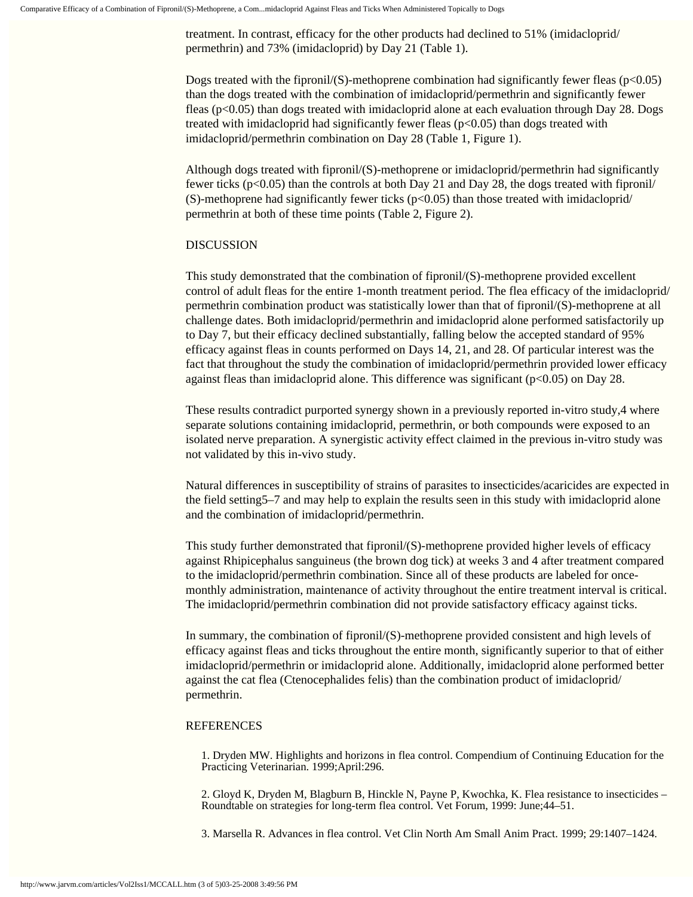treatment. In contrast, efficacy for the other products had declined to 51% (imidacloprid/ permethrin) and 73% (imidacloprid) by Day 21 (Table 1).

Dogs treated with the fipronil/(S)-methoprene combination had significantly fewer fleas ( $p<0.05$ ) than the dogs treated with the combination of imidacloprid/permethrin and significantly fewer fleas (p<0.05) than dogs treated with imidacloprid alone at each evaluation through Day 28. Dogs treated with imidacloprid had significantly fewer fleas ( $p<0.05$ ) than dogs treated with imidacloprid/permethrin combination on Day 28 (Table 1, Figure 1).

Although dogs treated with fipronil/(S)-methoprene or imidacloprid/permethrin had significantly fewer ticks ( $p<0.05$ ) than the controls at both Day 21 and Day 28, the dogs treated with fipronil/ (S)-methoprene had significantly fewer ticks ( $p<0.05$ ) than those treated with imidacloprid/ permethrin at both of these time points (Table 2, Figure 2).

#### DISCUSSION

This study demonstrated that the combination of fipronil/(S)-methoprene provided excellent control of adult fleas for the entire 1-month treatment period. The flea efficacy of the imidacloprid/ permethrin combination product was statistically lower than that of fipronil/(S)-methoprene at all challenge dates. Both imidacloprid/permethrin and imidacloprid alone performed satisfactorily up to Day 7, but their efficacy declined substantially, falling below the accepted standard of 95% efficacy against fleas in counts performed on Days 14, 21, and 28. Of particular interest was the fact that throughout the study the combination of imidacloprid/permethrin provided lower efficacy against fleas than imidacloprid alone. This difference was significant ( $p<0.05$ ) on Day 28.

These results contradict purported synergy shown in a previously reported in-vitro study,4 where separate solutions containing imidacloprid, permethrin, or both compounds were exposed to an isolated nerve preparation. A synergistic activity effect claimed in the previous in-vitro study was not validated by this in-vivo study.

Natural differences in susceptibility of strains of parasites to insecticides/acaricides are expected in the field setting5–7 and may help to explain the results seen in this study with imidacloprid alone and the combination of imidacloprid/permethrin.

This study further demonstrated that fipronil/(S)-methoprene provided higher levels of efficacy against Rhipicephalus sanguineus (the brown dog tick) at weeks 3 and 4 after treatment compared to the imidacloprid/permethrin combination. Since all of these products are labeled for oncemonthly administration, maintenance of activity throughout the entire treatment interval is critical. The imidacloprid/permethrin combination did not provide satisfactory efficacy against ticks.

In summary, the combination of fipronil/(S)-methoprene provided consistent and high levels of efficacy against fleas and ticks throughout the entire month, significantly superior to that of either imidacloprid/permethrin or imidacloprid alone. Additionally, imidacloprid alone performed better against the cat flea (Ctenocephalides felis) than the combination product of imidacloprid/ permethrin.

#### REFERENCES

1. Dryden MW. Highlights and horizons in flea control. Compendium of Continuing Education for the Practicing Veterinarian. 1999;April:296.

2. Gloyd K, Dryden M, Blagburn B, Hinckle N, Payne P, Kwochka, K. Flea resistance to insecticides – Roundtable on strategies for long-term flea control. Vet Forum, 1999: June;44–51.

3. Marsella R. Advances in flea control. Vet Clin North Am Small Anim Pract. 1999; 29:1407–1424.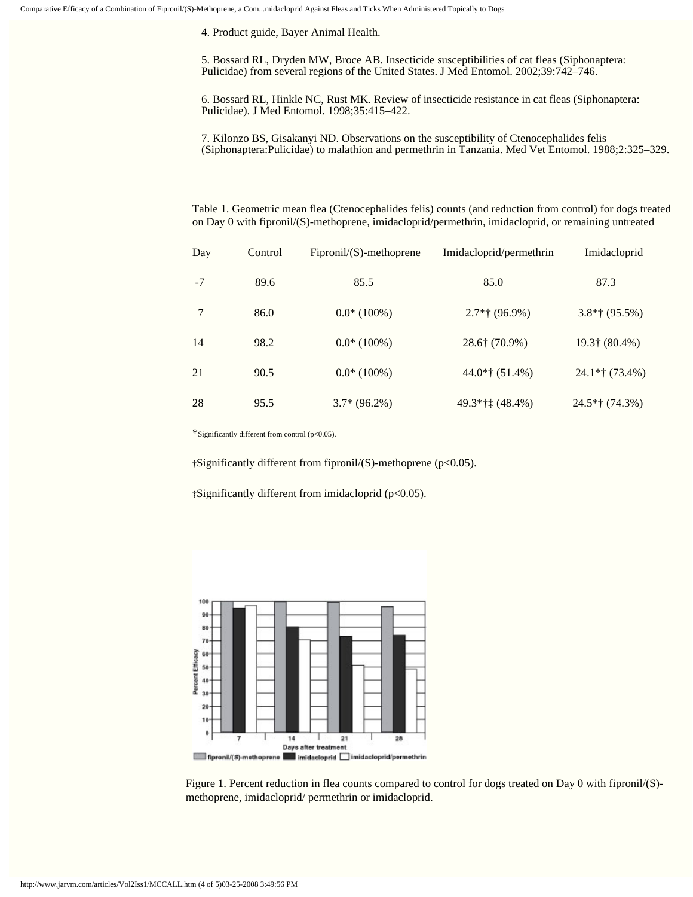4. Product guide, Bayer Animal Health.

5. Bossard RL, Dryden MW, Broce AB. Insecticide susceptibilities of cat fleas (Siphonaptera: Pulicidae) from several regions of the United States. J Med Entomol. 2002;39:742–746.

6. Bossard RL, Hinkle NC, Rust MK. Review of insecticide resistance in cat fleas (Siphonaptera: Pulicidae). J Med Entomol. 1998;35:415–422.

7. Kilonzo BS, Gisakanyi ND. Observations on the susceptibility of Ctenocephalides felis (Siphonaptera:Pulicidae) to malathion and permethrin in Tanzania. Med Vet Entomol. 1988;2:325–329.

Table 1. Geometric mean flea (Ctenocephalides felis) counts (and reduction from control) for dogs treated on Day 0 with fipronil/(S)-methoprene, imidacloprid/permethrin, imidacloprid, or remaining untreated

| Day  | Control | $Fipronil/(S)$ -methoprene | Imidacloprid/permethrin | Imidacloprid      |
|------|---------|----------------------------|-------------------------|-------------------|
| $-7$ | 89.6    | 85.5                       | 85.0                    | 87.3              |
| 7    | 86.0    | $0.0*(100\%)$              | $2.7*$ † (96.9%)        | $3.8*$ † (95.5%)  |
| 14   | 98.2    | $0.0*(100\%)$              | $28.6$ † (70.9%)        | 19.3† (80.4%)     |
| 21   | 90.5    | $0.0*(100\%)$              | $44.0*$ † (51.4%)       | $24.1*$ † (73.4%) |
| 28   | 95.5    | $3.7*(96.2%)$              | $49.3*$ †† $(48.4%)$    | $24.5*$ † (74.3%) |

\*Significantly different from control (p<0.05).

†Significantly different from fipronil/(S)-methoprene (p<0.05).

‡Significantly different from imidacloprid (p<0.05).



Figure 1. Percent reduction in flea counts compared to control for dogs treated on Day 0 with fipronil/(S) methoprene, imidacloprid/ permethrin or imidacloprid.